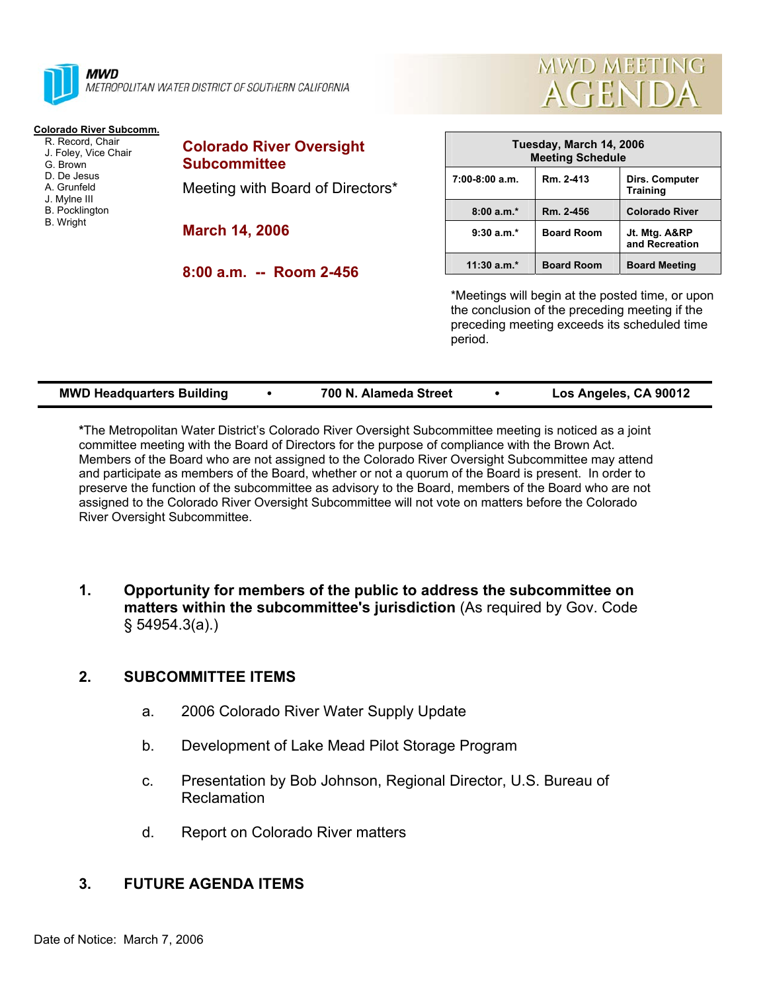

**MWD** METROPOLITAN WATER DISTRICT OF SOUTHERN CALIFORNIA

## **Colorado River Subcomm.**

 R. Record, Chair J. Foley, Vice Chair G. Brown D. De Jesus A. Grunfeld J. Mylne III B. Pocklington B. Wright

| <b>Colorado River Oversight</b><br><b>Subcommittee</b> |
|--------------------------------------------------------|
| Meeting with Board of Directors*                       |
| <b>March 14, 2006</b>                                  |

**8:00 a.m. -- Room 2-456** 



**MWD MEETING** 

**AGENDA** 

\*Meetings will begin at the posted time, or upon the conclusion of the preceding meeting if the preceding meeting exceeds its scheduled time period.

| <b>MWD Headquarters Building</b> |  | 700 N. Alameda Street |  | Los Angeles, CA 90012 |
|----------------------------------|--|-----------------------|--|-----------------------|
|----------------------------------|--|-----------------------|--|-----------------------|

**\***The Metropolitan Water District's Colorado River Oversight Subcommittee meeting is noticed as a joint committee meeting with the Board of Directors for the purpose of compliance with the Brown Act. Members of the Board who are not assigned to the Colorado River Oversight Subcommittee may attend and participate as members of the Board, whether or not a quorum of the Board is present. In order to preserve the function of the subcommittee as advisory to the Board, members of the Board who are not assigned to the Colorado River Oversight Subcommittee will not vote on matters before the Colorado River Oversight Subcommittee.

**1. Opportunity for members of the public to address the subcommittee on matters within the subcommittee's jurisdiction** (As required by Gov. Code § 54954.3(a).)

## **2. SUBCOMMITTEE ITEMS**

- a. 2006 Colorado River Water Supply Update
- b. Development of Lake Mead Pilot Storage Program
- c. Presentation by Bob Johnson, Regional Director, U.S. Bureau of Reclamation
- d. Report on Colorado River matters

## **3. FUTURE AGENDA ITEMS**